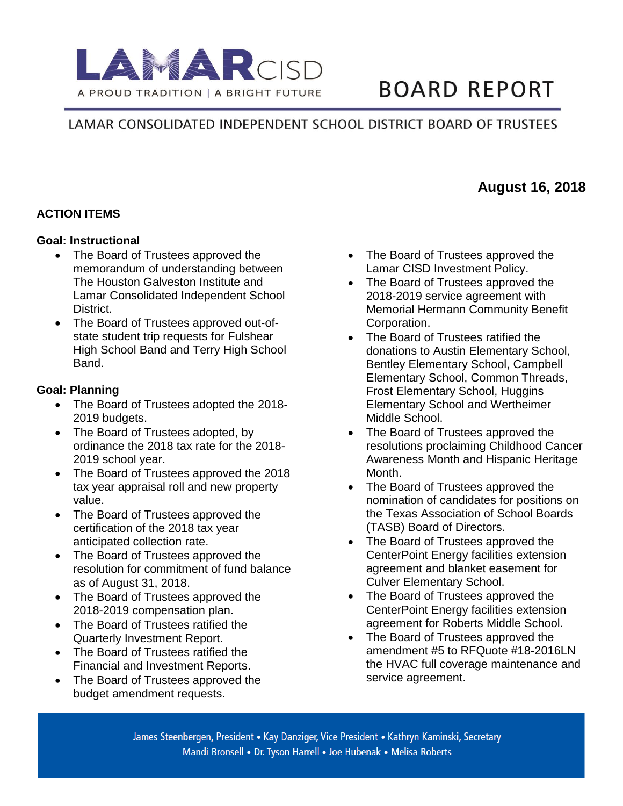

# **BOARD REPORT**

**August 16, 2018**

# LAMAR CONSOLIDATED INDEPENDENT SCHOOL DISTRICT BOARD OF TRUSTEES

## **ACTION ITEMS**

#### **Goal: Instructional**

- The Board of Trustees approved the memorandum of understanding between The Houston Galveston Institute and Lamar Consolidated Independent School District.
- The Board of Trustees approved out-ofstate student trip requests for Fulshear High School Band and Terry High School Band.

#### **Goal: Planning**

- The Board of Trustees adopted the 2018-2019 budgets.
- The Board of Trustees adopted, by ordinance the 2018 tax rate for the 2018- 2019 school year.
- The Board of Trustees approved the 2018 tax year appraisal roll and new property value.
- The Board of Trustees approved the certification of the 2018 tax year anticipated collection rate.
- The Board of Trustees approved the resolution for commitment of fund balance as of August 31, 2018.
- The Board of Trustees approved the 2018-2019 compensation plan.
- The Board of Trustees ratified the Quarterly Investment Report.
- The Board of Trustees ratified the Financial and Investment Reports.
- The Board of Trustees approved the budget amendment requests.
- The Board of Trustees approved the Lamar CISD Investment Policy.
- The Board of Trustees approved the 2018-2019 service agreement with Memorial Hermann Community Benefit Corporation.
- The Board of Trustees ratified the donations to Austin Elementary School, Bentley Elementary School, Campbell Elementary School, Common Threads, Frost Elementary School, Huggins Elementary School and Wertheimer Middle School.
- The Board of Trustees approved the resolutions proclaiming Childhood Cancer Awareness Month and Hispanic Heritage Month.
- The Board of Trustees approved the nomination of candidates for positions on the Texas Association of School Boards (TASB) Board of Directors.
- The Board of Trustees approved the CenterPoint Energy facilities extension agreement and blanket easement for Culver Elementary School.
- The Board of Trustees approved the CenterPoint Energy facilities extension agreement for Roberts Middle School.
- The Board of Trustees approved the amendment #5 to RFQuote #18-2016LN the HVAC full coverage maintenance and service agreement.

James Steenbergen, President • Kay Danziger, Vice President • Kathryn Kaminski, Secretary Mandi Bronsell • Dr. Tyson Harrell • Joe Hubenak • Melisa Roberts